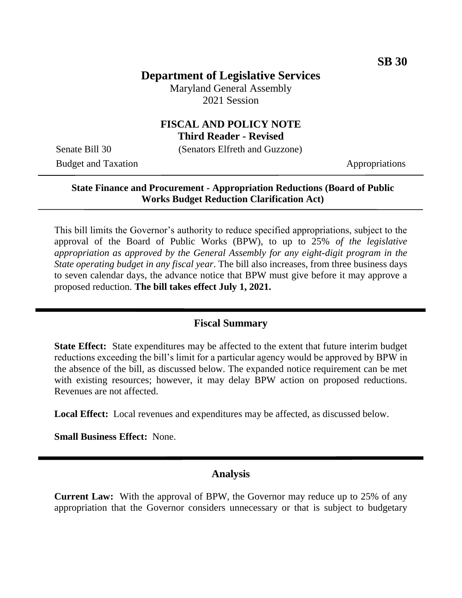# **Department of Legislative Services**

Maryland General Assembly 2021 Session

#### **FISCAL AND POLICY NOTE Third Reader - Revised**

Senate Bill 30 (Senators Elfreth and Guzzone)

Budget and Taxation Appropriations

## **State Finance and Procurement - Appropriation Reductions (Board of Public Works Budget Reduction Clarification Act)**

This bill limits the Governor's authority to reduce specified appropriations, subject to the approval of the Board of Public Works (BPW), to up to 25% *of the legislative appropriation as approved by the General Assembly for any eight-digit program in the State operating budget in any fiscal year*. The bill also increases, from three business days to seven calendar days, the advance notice that BPW must give before it may approve a proposed reduction. **The bill takes effect July 1, 2021.** 

## **Fiscal Summary**

**State Effect:** State expenditures may be affected to the extent that future interim budget reductions exceeding the bill's limit for a particular agency would be approved by BPW in the absence of the bill, as discussed below. The expanded notice requirement can be met with existing resources; however, it may delay BPW action on proposed reductions. Revenues are not affected.

**Local Effect:** Local revenues and expenditures may be affected, as discussed below.

**Small Business Effect:** None.

#### **Analysis**

**Current Law:** With the approval of BPW, the Governor may reduce up to 25% of any appropriation that the Governor considers unnecessary or that is subject to budgetary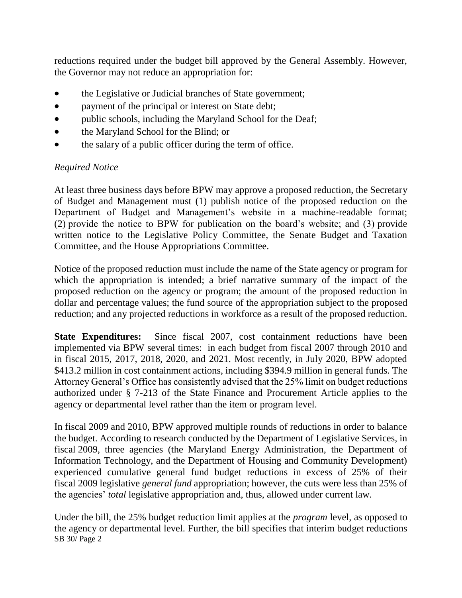reductions required under the budget bill approved by the General Assembly. However, the Governor may not reduce an appropriation for:

- the Legislative or Judicial branches of State government;
- payment of the principal or interest on State debt;
- public schools, including the Maryland School for the Deaf;
- the Maryland School for the Blind; or
- the salary of a public officer during the term of office.

## *Required Notice*

At least three business days before BPW may approve a proposed reduction, the Secretary of Budget and Management must (1) publish notice of the proposed reduction on the Department of Budget and Management's website in a machine-readable format; (2) provide the notice to BPW for publication on the board's website; and (3) provide written notice to the Legislative Policy Committee, the Senate Budget and Taxation Committee, and the House Appropriations Committee.

Notice of the proposed reduction must include the name of the State agency or program for which the appropriation is intended; a brief narrative summary of the impact of the proposed reduction on the agency or program; the amount of the proposed reduction in dollar and percentage values; the fund source of the appropriation subject to the proposed reduction; and any projected reductions in workforce as a result of the proposed reduction.

**State Expenditures:** Since fiscal 2007, cost containment reductions have been implemented via BPW several times: in each budget from fiscal 2007 through 2010 and in fiscal 2015, 2017, 2018, 2020, and 2021. Most recently, in July 2020, BPW adopted \$413.2 million in cost containment actions, including \$394.9 million in general funds. The Attorney General's Office has consistently advised that the 25% limit on budget reductions authorized under § 7-213 of the State Finance and Procurement Article applies to the agency or departmental level rather than the item or program level.

In fiscal 2009 and 2010, BPW approved multiple rounds of reductions in order to balance the budget. According to research conducted by the Department of Legislative Services, in fiscal 2009, three agencies (the Maryland Energy Administration, the Department of Information Technology, and the Department of Housing and Community Development) experienced cumulative general fund budget reductions in excess of 25% of their fiscal 2009 legislative *general fund* appropriation; however, the cuts were less than 25% of the agencies' *total* legislative appropriation and, thus, allowed under current law.

SB 30/ Page 2 Under the bill, the 25% budget reduction limit applies at the *program* level, as opposed to the agency or departmental level. Further, the bill specifies that interim budget reductions